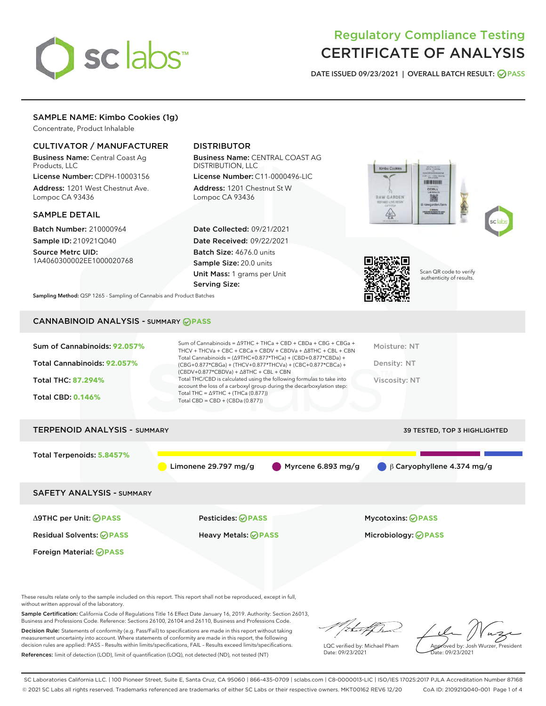

# Regulatory Compliance Testing CERTIFICATE OF ANALYSIS

DATE ISSUED 09/23/2021 | OVERALL BATCH RESULT: @ PASS

# SAMPLE NAME: Kimbo Cookies (1g)

Concentrate, Product Inhalable

# CULTIVATOR / MANUFACTURER

Business Name: Central Coast Ag Products, LLC

License Number: CDPH-10003156 Address: 1201 West Chestnut Ave. Lompoc CA 93436

#### SAMPLE DETAIL

Batch Number: 210000964 Sample ID: 210921Q040

Source Metrc UID: 1A4060300002EE1000020768

# DISTRIBUTOR

Business Name: CENTRAL COAST AG DISTRIBUTION, LLC

License Number: C11-0000496-LIC Address: 1201 Chestnut St W Lompoc CA 93436

Date Collected: 09/21/2021 Date Received: 09/22/2021 Batch Size: 4676.0 units Sample Size: 20.0 units Unit Mass: 1 grams per Unit Serving Size:





Scan QR code to verify authenticity of results.

Sampling Method: QSP 1265 - Sampling of Cannabis and Product Batches

# CANNABINOID ANALYSIS - SUMMARY **PASS**

| Sum of Cannabinoids: 92.057%<br>Total Cannabinoids: 92.057%<br>Total THC: 87.294%<br><b>Total CBD: 0.146%</b> | Sum of Cannabinoids = $\triangle$ 9THC + THCa + CBD + CBDa + CBG + CBGa +<br>THCV + THCVa + CBC + CBCa + CBDV + CBDVa + $\Delta$ 8THC + CBL + CBN<br>Total Cannabinoids = $(\Delta$ 9THC+0.877*THCa) + (CBD+0.877*CBDa) +<br>(CBG+0.877*CBGa) + (THCV+0.877*THCVa) + (CBC+0.877*CBCa) +<br>$(CBDV+0.877*CBDVa) + \Delta 8THC + CBL + CBN$<br>Total THC/CBD is calculated using the following formulas to take into<br>account the loss of a carboxyl group during the decarboxylation step:<br>Total THC = $\triangle$ 9THC + (THCa (0.877))<br>Total CBD = CBD + (CBDa (0.877)) | Moisture: NT<br>Density: NT<br>Viscosity: NT    |  |  |  |
|---------------------------------------------------------------------------------------------------------------|----------------------------------------------------------------------------------------------------------------------------------------------------------------------------------------------------------------------------------------------------------------------------------------------------------------------------------------------------------------------------------------------------------------------------------------------------------------------------------------------------------------------------------------------------------------------------------|-------------------------------------------------|--|--|--|
| <b>TERPENOID ANALYSIS - SUMMARY</b><br>39 TESTED, TOP 3 HIGHLIGHTED                                           |                                                                                                                                                                                                                                                                                                                                                                                                                                                                                                                                                                                  |                                                 |  |  |  |
| Total Terpenoids: 5.8457%                                                                                     | Myrcene 6.893 mg/g<br>Limonene 29.797 mg/g                                                                                                                                                                                                                                                                                                                                                                                                                                                                                                                                       | $\beta$ Caryophyllene 4.374 mg/g                |  |  |  |
| <b>SAFETY ANALYSIS - SUMMARY</b>                                                                              |                                                                                                                                                                                                                                                                                                                                                                                                                                                                                                                                                                                  |                                                 |  |  |  |
| ∆9THC per Unit: ⊘PASS<br><b>Residual Solvents: ⊘PASS</b><br>Foreign Material: <b>⊘ PASS</b>                   | Pesticides: ⊘PASS<br>Heavy Metals: <b>PASS</b>                                                                                                                                                                                                                                                                                                                                                                                                                                                                                                                                   | Mycotoxins: ⊘PASS<br>Microbiology: <b>OPASS</b> |  |  |  |

These results relate only to the sample included on this report. This report shall not be reproduced, except in full, without written approval of the laboratory.

Sample Certification: California Code of Regulations Title 16 Effect Date January 16, 2019. Authority: Section 26013, Business and Professions Code. Reference: Sections 26100, 26104 and 26110, Business and Professions Code.

Decision Rule: Statements of conformity (e.g. Pass/Fail) to specifications are made in this report without taking measurement uncertainty into account. Where statements of conformity are made in this report, the following decision rules are applied: PASS – Results within limits/specifications, FAIL – Results exceed limits/specifications. References: limit of detection (LOD), limit of quantification (LOQ), not detected (ND), not tested (NT)

/that f(h

LQC verified by: Michael Pham Date: 09/23/2021

Approved by: Josh Wurzer, President ate: 09/23/2021

SC Laboratories California LLC. | 100 Pioneer Street, Suite E, Santa Cruz, CA 95060 | 866-435-0709 | sclabs.com | C8-0000013-LIC | ISO/IES 17025:2017 PJLA Accreditation Number 87168 © 2021 SC Labs all rights reserved. Trademarks referenced are trademarks of either SC Labs or their respective owners. MKT00162 REV6 12/20 CoA ID: 210921Q040-001 Page 1 of 4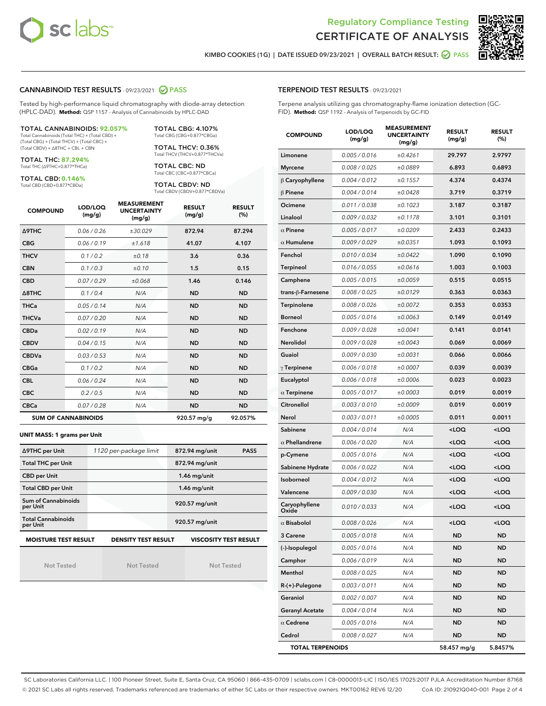



KIMBO COOKIES (1G) | DATE ISSUED 09/23/2021 | OVERALL BATCH RESULT: **● PASS** 

# CANNABINOID TEST RESULTS - 09/23/2021 @ PASS

Tested by high-performance liquid chromatography with diode-array detection (HPLC-DAD). **Method:** QSP 1157 - Analysis of Cannabinoids by HPLC-DAD

#### TOTAL CANNABINOIDS: **92.057%**

Total Cannabinoids (Total THC) + (Total CBD) + (Total CBG) + (Total THCV) + (Total CBC) + (Total CBDV) + ∆8THC + CBL + CBN

TOTAL THC: **87.294%** Total THC (∆9THC+0.877\*THCa)

TOTAL CBD: **0.146%**

Total CBD (CBD+0.877\*CBDa)

TOTAL CBG: 4.107% Total CBG (CBG+0.877\*CBGa)

TOTAL THCV: 0.36% Total THCV (THCV+0.877\*THCVa)

TOTAL CBC: ND Total CBC (CBC+0.877\*CBCa)

TOTAL CBDV: ND Total CBDV (CBDV+0.877\*CBDVa)

| <b>COMPOUND</b>  | LOD/LOQ<br>(mg/g)          | <b>MEASUREMENT</b><br><b>UNCERTAINTY</b><br>(mg/g) | <b>RESULT</b><br>(mg/g) | <b>RESULT</b><br>(%) |
|------------------|----------------------------|----------------------------------------------------|-------------------------|----------------------|
| <b>A9THC</b>     | 0.06 / 0.26                | ±30.029                                            | 872.94                  | 87.294               |
| <b>CBG</b>       | 0.06/0.19                  | ±1.618                                             | 41.07                   | 4.107                |
| <b>THCV</b>      | 0.1 / 0.2                  | ±0.18                                              | 3.6                     | 0.36                 |
| <b>CBN</b>       | 0.1/0.3                    | ±0.10                                              | 1.5                     | 0.15                 |
| <b>CBD</b>       | 0.07/0.29                  | ±0.068                                             | 1.46                    | 0.146                |
| $\triangle$ 8THC | 0.1/0.4                    | N/A                                                | <b>ND</b>               | <b>ND</b>            |
| <b>THCa</b>      | 0.05/0.14                  | N/A                                                | <b>ND</b>               | <b>ND</b>            |
| <b>THCVa</b>     | 0.07 / 0.20                | N/A                                                | <b>ND</b>               | <b>ND</b>            |
| <b>CBDa</b>      | 0.02/0.19                  | N/A                                                | <b>ND</b>               | <b>ND</b>            |
| <b>CBDV</b>      | 0.04 / 0.15                | N/A                                                | <b>ND</b>               | <b>ND</b>            |
| <b>CBDVa</b>     | 0.03/0.53                  | N/A                                                | <b>ND</b>               | <b>ND</b>            |
| <b>CBGa</b>      | 0.1/0.2                    | N/A                                                | <b>ND</b>               | <b>ND</b>            |
| <b>CBL</b>       | 0.06 / 0.24                | N/A                                                | <b>ND</b>               | <b>ND</b>            |
| <b>CBC</b>       | 0.2 / 0.5                  | N/A                                                | <b>ND</b>               | <b>ND</b>            |
| <b>CBCa</b>      | 0.07 / 0.28                | N/A                                                | <b>ND</b>               | <b>ND</b>            |
|                  | <b>SUM OF CANNABINOIDS</b> |                                                    | 920.57 mg/g             | 92.057%              |

#### **UNIT MASS: 1 grams per Unit**

| ∆9THC per Unit                        | 1120 per-package limit     | 872.94 mg/unit<br><b>PASS</b> |
|---------------------------------------|----------------------------|-------------------------------|
| <b>Total THC per Unit</b>             |                            | 872.94 mg/unit                |
| <b>CBD per Unit</b>                   |                            | $1.46$ mg/unit                |
| <b>Total CBD per Unit</b>             |                            | $1.46$ mg/unit                |
| Sum of Cannabinoids<br>per Unit       |                            | 920.57 mg/unit                |
| <b>Total Cannabinoids</b><br>per Unit |                            | 920.57 mg/unit                |
| <b>MOISTURE TEST RESULT</b>           | <b>DENSITY TEST RESULT</b> | <b>VISCOSITY TEST RESULT</b>  |

Not Tested

Not Tested

Not Tested

#### TERPENOID TEST RESULTS - 09/23/2021

Terpene analysis utilizing gas chromatography-flame ionization detection (GC-FID). **Method:** QSP 1192 - Analysis of Terpenoids by GC-FID

| <b>COMPOUND</b>         | LOD/LOQ<br>(mg/g) | <b>MEASUREMENT</b><br><b>UNCERTAINTY</b><br>(mg/g) | <b>RESULT</b><br>(mg/g)                          | <b>RESULT</b><br>(%) |
|-------------------------|-------------------|----------------------------------------------------|--------------------------------------------------|----------------------|
| Limonene                | 0.005 / 0.016     | ±0.4261                                            | 29.797                                           | 2.9797               |
| <b>Myrcene</b>          | 0.008 / 0.025     | ±0.0889                                            | 6.893                                            | 0.6893               |
| $\beta$ Caryophyllene   | 0.004 / 0.012     | ±0.1557                                            | 4.374                                            | 0.4374               |
| $\beta$ Pinene          | 0.004 / 0.014     | ±0.0428                                            | 3.719                                            | 0.3719               |
| Ocimene                 | 0.011 / 0.038     | ±0.1023                                            | 3.187                                            | 0.3187               |
| Linalool                | 0.009 / 0.032     | ±0.1178                                            | 3.101                                            | 0.3101               |
| $\alpha$ Pinene         | 0.005 / 0.017     | ±0.0209                                            | 2.433                                            | 0.2433               |
| $\alpha$ Humulene       | 0.009/0.029       | ±0.0351                                            | 1.093                                            | 0.1093               |
| Fenchol                 | 0.010 / 0.034     | ±0.0422                                            | 1.090                                            | 0.1090               |
| <b>Terpineol</b>        | 0.016 / 0.055     | ±0.0616                                            | 1.003                                            | 0.1003               |
| Camphene                | 0.005 / 0.015     | ±0.0059                                            | 0.515                                            | 0.0515               |
| trans-ß-Farnesene       | 0.008 / 0.025     | ±0.0129                                            | 0.363                                            | 0.0363               |
| Terpinolene             | 0.008 / 0.026     | ±0.0072                                            | 0.353                                            | 0.0353               |
| <b>Borneol</b>          | 0.005 / 0.016     | ±0.0063                                            | 0.149                                            | 0.0149               |
| Fenchone                | 0.009 / 0.028     | ±0.0041                                            | 0.141                                            | 0.0141               |
| Nerolidol               | 0.009 / 0.028     | ±0.0043                                            | 0.069                                            | 0.0069               |
| Guaiol                  | 0.009 / 0.030     | ±0.0031                                            | 0.066                                            | 0.0066               |
| $\gamma$ Terpinene      | 0.006 / 0.018     | ±0.0007                                            | 0.039                                            | 0.0039               |
| Eucalyptol              | 0.006 / 0.018     | ±0.0006                                            | 0.023                                            | 0.0023               |
| $\alpha$ Terpinene      | 0.005 / 0.017     | ±0.0003                                            | 0.019                                            | 0.0019               |
| Citronellol             | 0.003 / 0.010     | ±0.0009                                            | 0.019                                            | 0.0019               |
| Nerol                   | 0.003 / 0.011     | ±0.0005                                            | 0.011                                            | 0.0011               |
| Sabinene                | 0.004 / 0.014     | N/A                                                | <loq< th=""><th><loq< th=""></loq<></th></loq<>  | <loq< th=""></loq<>  |
| $\alpha$ Phellandrene   | 0.006 / 0.020     | N/A                                                | <loq< th=""><th><loq< th=""></loq<></th></loq<>  | <loq< th=""></loq<>  |
| p-Cymene                | 0.005 / 0.016     | N/A                                                | <loq< th=""><th><loq< th=""></loq<></th></loq<>  | <loq< th=""></loq<>  |
| Sabinene Hydrate        | 0.006 / 0.022     | N/A                                                | <loq< th=""><th><loq< th=""></loq<></th></loq<>  | <loq< th=""></loq<>  |
| Isoborneol              | 0.004 / 0.012     | N/A                                                | <loq< th=""><th><math>&lt;</math>LOQ</th></loq<> | $<$ LOQ              |
| Valencene               | 0.009 / 0.030     | N/A                                                | <loq< th=""><th><loq< th=""></loq<></th></loq<>  | <loq< th=""></loq<>  |
| Caryophyllene<br>Oxide  | 0.010 / 0.033     | N/A                                                | <loq< th=""><th><loq< th=""></loq<></th></loq<>  | <loq< th=""></loq<>  |
| $\alpha$ Bisabolol      | 0.008 / 0.026     | N/A                                                | <loq< th=""><th><loq< th=""></loq<></th></loq<>  | <loq< th=""></loq<>  |
| 3 Carene                | 0.005 / 0.018     | N/A                                                | ND                                               | ND                   |
| (-)-Isopulegol          | 0.005 / 0.016     | N/A                                                | ND                                               | ND                   |
| Camphor                 | 0.006 / 0.019     | N/A                                                | <b>ND</b>                                        | ND                   |
| Menthol                 | 0.008 / 0.025     | N/A                                                | <b>ND</b>                                        | ND                   |
| $R-(+)$ -Pulegone       | 0.003 / 0.011     | N/A                                                | ND                                               | ND                   |
| Geraniol                | 0.002 / 0.007     | N/A                                                | <b>ND</b>                                        | ND                   |
| <b>Geranyl Acetate</b>  | 0.004 / 0.014     | N/A                                                | <b>ND</b>                                        | ND                   |
| $\alpha$ Cedrene        | 0.005 / 0.016     | N/A                                                | ND                                               | ND                   |
| Cedrol                  | 0.008 / 0.027     | N/A                                                | <b>ND</b>                                        | ND                   |
| <b>TOTAL TERPENOIDS</b> |                   |                                                    | 58.457 mg/g                                      | 5.8457%              |

SC Laboratories California LLC. | 100 Pioneer Street, Suite E, Santa Cruz, CA 95060 | 866-435-0709 | sclabs.com | C8-0000013-LIC | ISO/IES 17025:2017 PJLA Accreditation Number 87168 © 2021 SC Labs all rights reserved. Trademarks referenced are trademarks of either SC Labs or their respective owners. MKT00162 REV6 12/20 CoA ID: 210921Q040-001 Page 2 of 4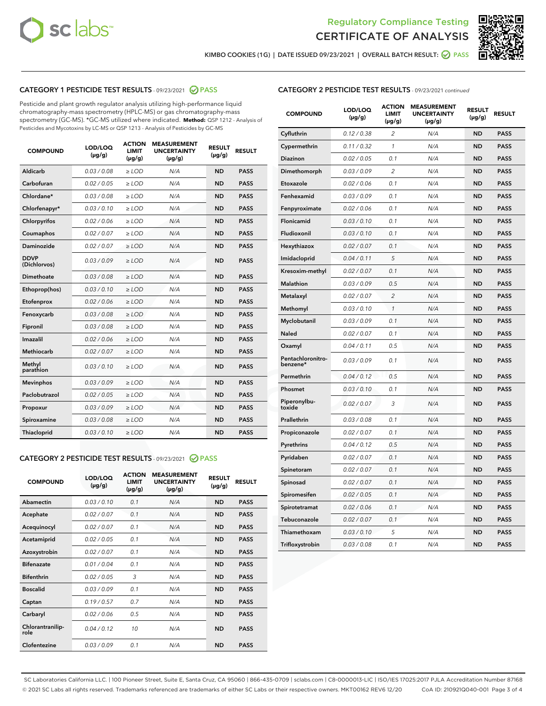



KIMBO COOKIES (1G) | DATE ISSUED 09/23/2021 | OVERALL BATCH RESULT:  $\bigcirc$  PASS

# CATEGORY 1 PESTICIDE TEST RESULTS - 09/23/2021 2 PASS

Pesticide and plant growth regulator analysis utilizing high-performance liquid chromatography-mass spectrometry (HPLC-MS) or gas chromatography-mass spectrometry (GC-MS). \*GC-MS utilized where indicated. **Method:** QSP 1212 - Analysis of Pesticides and Mycotoxins by LC-MS or QSP 1213 - Analysis of Pesticides by GC-MS

| <b>COMPOUND</b>             | LOD/LOQ<br>$(\mu g/g)$ | <b>ACTION</b><br><b>LIMIT</b><br>$(\mu g/g)$ | <b>MEASUREMENT</b><br><b>UNCERTAINTY</b><br>$(\mu g/g)$ | <b>RESULT</b><br>$(\mu g/g)$ | <b>RESULT</b> |
|-----------------------------|------------------------|----------------------------------------------|---------------------------------------------------------|------------------------------|---------------|
| Aldicarb                    | 0.03 / 0.08            | $\ge$ LOD                                    | N/A                                                     | <b>ND</b>                    | <b>PASS</b>   |
| Carbofuran                  | 0.02/0.05              | $\ge$ LOD                                    | N/A                                                     | <b>ND</b>                    | <b>PASS</b>   |
| Chlordane*                  | 0.03 / 0.08            | $\ge$ LOD                                    | N/A                                                     | <b>ND</b>                    | <b>PASS</b>   |
| Chlorfenapyr*               | 0.03/0.10              | $\ge$ LOD                                    | N/A                                                     | <b>ND</b>                    | <b>PASS</b>   |
| Chlorpyrifos                | 0.02 / 0.06            | $\ge$ LOD                                    | N/A                                                     | <b>ND</b>                    | <b>PASS</b>   |
| Coumaphos                   | 0.02 / 0.07            | $>$ LOD                                      | N/A                                                     | <b>ND</b>                    | <b>PASS</b>   |
| Daminozide                  | 0.02 / 0.07            | $\ge$ LOD                                    | N/A                                                     | <b>ND</b>                    | <b>PASS</b>   |
| <b>DDVP</b><br>(Dichlorvos) | 0.03/0.09              | $\ge$ LOD                                    | N/A                                                     | <b>ND</b>                    | <b>PASS</b>   |
| Dimethoate                  | 0.03 / 0.08            | $>$ LOD                                      | N/A                                                     | <b>ND</b>                    | <b>PASS</b>   |
| Ethoprop(hos)               | 0.03/0.10              | $\ge$ LOD                                    | N/A                                                     | <b>ND</b>                    | <b>PASS</b>   |
| Etofenprox                  | 0.02 / 0.06            | $\ge$ LOD                                    | N/A                                                     | <b>ND</b>                    | <b>PASS</b>   |
| Fenoxycarb                  | 0.03 / 0.08            | $>$ LOD                                      | N/A                                                     | <b>ND</b>                    | <b>PASS</b>   |
| Fipronil                    | 0.03/0.08              | $\ge$ LOD                                    | N/A                                                     | <b>ND</b>                    | <b>PASS</b>   |
| Imazalil                    | 0.02 / 0.06            | $>$ LOD                                      | N/A                                                     | <b>ND</b>                    | <b>PASS</b>   |
| Methiocarb                  | 0.02 / 0.07            | $\ge$ LOD                                    | N/A                                                     | <b>ND</b>                    | <b>PASS</b>   |
| Methyl<br>parathion         | 0.03/0.10              | $\ge$ LOD                                    | N/A                                                     | <b>ND</b>                    | <b>PASS</b>   |
| <b>Mevinphos</b>            | 0.03/0.09              | $\ge$ LOD                                    | N/A                                                     | <b>ND</b>                    | <b>PASS</b>   |
| Paclobutrazol               | 0.02 / 0.05            | $\ge$ LOD                                    | N/A                                                     | <b>ND</b>                    | <b>PASS</b>   |
| Propoxur                    | 0.03/0.09              | $\ge$ LOD                                    | N/A                                                     | <b>ND</b>                    | <b>PASS</b>   |
| Spiroxamine                 | 0.03 / 0.08            | $\ge$ LOD                                    | N/A                                                     | <b>ND</b>                    | <b>PASS</b>   |
| Thiacloprid                 | 0.03/0.10              | $\ge$ LOD                                    | N/A                                                     | <b>ND</b>                    | <b>PASS</b>   |

#### CATEGORY 2 PESTICIDE TEST RESULTS - 09/23/2021 @ PASS

| <b>COMPOUND</b>          | LOD/LOO<br>$(\mu g/g)$ | <b>ACTION</b><br>LIMIT<br>$(\mu g/g)$ | <b>MEASUREMENT</b><br><b>UNCERTAINTY</b><br>$(\mu g/g)$ | <b>RESULT</b><br>$(\mu g/g)$ | <b>RESULT</b> |  |
|--------------------------|------------------------|---------------------------------------|---------------------------------------------------------|------------------------------|---------------|--|
| Abamectin                | 0.03/0.10              | 0.1                                   | N/A                                                     | <b>ND</b>                    | <b>PASS</b>   |  |
| Acephate                 | 0.02/0.07              | 0.1                                   | N/A                                                     | <b>ND</b>                    | <b>PASS</b>   |  |
| Acequinocyl              | 0.02/0.07              | 0.1                                   | N/A                                                     | <b>ND</b>                    | <b>PASS</b>   |  |
| Acetamiprid              | 0.02 / 0.05            | 0.1                                   | N/A                                                     | <b>ND</b>                    | <b>PASS</b>   |  |
| Azoxystrobin             | 0.02/0.07              | 0.1                                   | N/A                                                     | <b>ND</b>                    | <b>PASS</b>   |  |
| <b>Bifenazate</b>        | 0.01 / 0.04            | 0.1                                   | N/A                                                     | <b>ND</b>                    | <b>PASS</b>   |  |
| <b>Bifenthrin</b>        | 0.02 / 0.05            | 3                                     | N/A                                                     | <b>ND</b>                    | <b>PASS</b>   |  |
| <b>Boscalid</b>          | 0.03/0.09              | 0.1                                   | N/A                                                     | <b>ND</b>                    | <b>PASS</b>   |  |
| Captan                   | 0.19/0.57              | 0.7                                   | N/A                                                     | <b>ND</b>                    | <b>PASS</b>   |  |
| Carbaryl                 | 0.02/0.06              | 0.5                                   | N/A                                                     | <b>ND</b>                    | <b>PASS</b>   |  |
| Chlorantranilip-<br>role | 0.04/0.12              | 10                                    | N/A                                                     | <b>ND</b>                    | <b>PASS</b>   |  |
| Clofentezine             | 0.03/0.09              | 0.1                                   | N/A                                                     | <b>ND</b>                    | <b>PASS</b>   |  |

| <b>CATEGORY 2 PESTICIDE TEST RESULTS</b> - 09/23/2021 continued |
|-----------------------------------------------------------------|
|-----------------------------------------------------------------|

| <b>COMPOUND</b>               | LOD/LOQ<br>(µg/g) | <b>ACTION</b><br><b>LIMIT</b><br>(µg/g) | <b>MEASUREMENT</b><br><b>UNCERTAINTY</b><br>$(\mu g/g)$ | <b>RESULT</b><br>(µg/g) | <b>RESULT</b> |
|-------------------------------|-------------------|-----------------------------------------|---------------------------------------------------------|-------------------------|---------------|
| Cyfluthrin                    | 0.12 / 0.38       | $\overline{c}$                          | N/A                                                     | <b>ND</b>               | <b>PASS</b>   |
| Cypermethrin                  | 0.11 / 0.32       | $\mathcal{I}$                           | N/A                                                     | <b>ND</b>               | <b>PASS</b>   |
| <b>Diazinon</b>               | 0.02 / 0.05       | 0.1                                     | N/A                                                     | <b>ND</b>               | <b>PASS</b>   |
| Dimethomorph                  | 0.03 / 0.09       | 2                                       | N/A                                                     | <b>ND</b>               | <b>PASS</b>   |
| Etoxazole                     | 0.02 / 0.06       | 0.1                                     | N/A                                                     | <b>ND</b>               | <b>PASS</b>   |
| Fenhexamid                    | 0.03 / 0.09       | 0.1                                     | N/A                                                     | <b>ND</b>               | <b>PASS</b>   |
| Fenpyroximate                 | 0.02 / 0.06       | 0.1                                     | N/A                                                     | <b>ND</b>               | <b>PASS</b>   |
| Flonicamid                    | 0.03 / 0.10       | 0.1                                     | N/A                                                     | <b>ND</b>               | <b>PASS</b>   |
| Fludioxonil                   | 0.03/0.10         | 0.1                                     | N/A                                                     | <b>ND</b>               | <b>PASS</b>   |
| Hexythiazox                   | 0.02 / 0.07       | 0.1                                     | N/A                                                     | <b>ND</b>               | <b>PASS</b>   |
| Imidacloprid                  | 0.04 / 0.11       | 5                                       | N/A                                                     | <b>ND</b>               | <b>PASS</b>   |
| Kresoxim-methyl               | 0.02 / 0.07       | 0.1                                     | N/A                                                     | <b>ND</b>               | <b>PASS</b>   |
| <b>Malathion</b>              | 0.03 / 0.09       | 0.5                                     | N/A                                                     | <b>ND</b>               | <b>PASS</b>   |
| Metalaxyl                     | 0.02 / 0.07       | $\overline{c}$                          | N/A                                                     | <b>ND</b>               | <b>PASS</b>   |
| Methomyl                      | 0.03 / 0.10       | 1                                       | N/A                                                     | <b>ND</b>               | <b>PASS</b>   |
| Myclobutanil                  | 0.03 / 0.09       | 0.1                                     | N/A                                                     | <b>ND</b>               | <b>PASS</b>   |
| Naled                         | 0.02 / 0.07       | 0.1                                     | N/A                                                     | <b>ND</b>               | <b>PASS</b>   |
| Oxamyl                        | 0.04 / 0.11       | 0.5                                     | N/A                                                     | <b>ND</b>               | <b>PASS</b>   |
| Pentachloronitro-<br>benzene* | 0.03 / 0.09       | 0.1                                     | N/A                                                     | <b>ND</b>               | <b>PASS</b>   |
| Permethrin                    | 0.04 / 0.12       | 0.5                                     | N/A                                                     | <b>ND</b>               | <b>PASS</b>   |
| Phosmet                       | 0.03 / 0.10       | 0.1                                     | N/A                                                     | <b>ND</b>               | <b>PASS</b>   |
| Piperonylbu-<br>toxide        | 0.02 / 0.07       | 3                                       | N/A                                                     | <b>ND</b>               | <b>PASS</b>   |
| Prallethrin                   | 0.03 / 0.08       | 0.1                                     | N/A                                                     | <b>ND</b>               | <b>PASS</b>   |
| Propiconazole                 | 0.02 / 0.07       | 0.1                                     | N/A                                                     | <b>ND</b>               | <b>PASS</b>   |
| Pyrethrins                    | 0.04 / 0.12       | 0.5                                     | N/A                                                     | <b>ND</b>               | <b>PASS</b>   |
| Pyridaben                     | 0.02 / 0.07       | 0.1                                     | N/A                                                     | <b>ND</b>               | <b>PASS</b>   |
| Spinetoram                    | 0.02 / 0.07       | 0.1                                     | N/A                                                     | <b>ND</b>               | <b>PASS</b>   |
| Spinosad                      | 0.02 / 0.07       | 0.1                                     | N/A                                                     | <b>ND</b>               | <b>PASS</b>   |
| Spiromesifen                  | 0.02 / 0.05       | 0.1                                     | N/A                                                     | <b>ND</b>               | <b>PASS</b>   |
| Spirotetramat                 | 0.02 / 0.06       | 0.1                                     | N/A                                                     | <b>ND</b>               | <b>PASS</b>   |
| Tebuconazole                  | 0.02 / 0.07       | 0.1                                     | N/A                                                     | <b>ND</b>               | <b>PASS</b>   |
| Thiamethoxam                  | 0.03 / 0.10       | 5                                       | N/A                                                     | <b>ND</b>               | <b>PASS</b>   |
| Trifloxystrobin               | 0.03 / 0.08       | 0.1                                     | N/A                                                     | <b>ND</b>               | <b>PASS</b>   |

SC Laboratories California LLC. | 100 Pioneer Street, Suite E, Santa Cruz, CA 95060 | 866-435-0709 | sclabs.com | C8-0000013-LIC | ISO/IES 17025:2017 PJLA Accreditation Number 87168 © 2021 SC Labs all rights reserved. Trademarks referenced are trademarks of either SC Labs or their respective owners. MKT00162 REV6 12/20 CoA ID: 210921Q040-001 Page 3 of 4